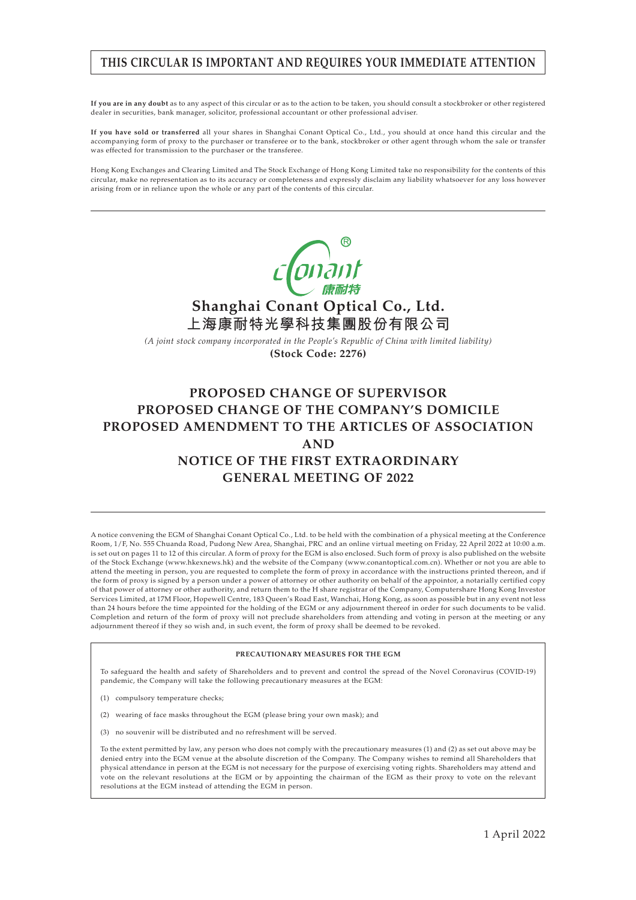## **THIS CIRCULAR IS IMPORTANT AND REQUIRES YOUR IMMEDIATE ATTENTION**

**If you are in any doubt** as to any aspect of this circular or as to the action to be taken, you should consult a stockbroker or other registered dealer in securities, bank manager, solicitor, professional accountant or other professional adviser.

**If you have sold or transferred** all your shares in Shanghai Conant Optical Co., Ltd., you should at once hand this circular and the accompanying form of proxy to the purchaser or transferee or to the bank, stockbroker or other agent through whom the sale or transfer was effected for transmission to the purchaser or the transferee.

Hong Kong Exchanges and Clearing Limited and The Stock Exchange of Hong Kong Limited take no responsibility for the contents of this circular, make no representation as to its accuracy or completeness and expressly disclaim any liability whatsoever for any loss however arising from or in reliance upon the whole or any part of the contents of this circular.



*(A joint stock company incorporated in the People's Republic of China with limited liability)* **(Stock Code: 2276)**

# **PROPOSED CHANGE OF SUPERVISOR PROPOSED CHANGE OF THE COMPANY'S DOMICILE PROPOSED AMENDMENT TO THE ARTICLES OF ASSOCIATION AND NOTICE OF THE FIRST EXTRAORDINARY GENERAL MEETING OF 2022**

A notice convening the EGM of Shanghai Conant Optical Co., Ltd. to be held with the combination of a physical meeting at the Conference Room, 1/F, No. 555 Chuanda Road, Pudong New Area, Shanghai, PRC and an online virtual meeting on Friday, 22 April 2022 at 10:00 a.m. is set out on pages 11 to 12 of this circular. A form of proxy for the EGM is also enclosed. Such form of proxy is also published on the website of the Stock Exchange (www.hkexnews.hk) and the website of the Company (www.conantoptical.com.cn). Whether or not you are able to attend the meeting in person, you are requested to complete the form of proxy in accordance with the instructions printed thereon, and if the form of proxy is signed by a person under a power of attorney or other authority on behalf of the appointor, a notarially certified copy of that power of attorney or other authority, and return them to the H share registrar of the Company, Computershare Hong Kong Investor Services Limited, at 17M Floor, Hopewell Centre, 183 Queen's Road East, Wanchai, Hong Kong, as soon as possible but in any event not less than 24 hours before the time appointed for the holding of the EGM or any adjournment thereof in order for such documents to be valid. Completion and return of the form of proxy will not preclude shareholders from attending and voting in person at the meeting or any adjournment thereof if they so wish and, in such event, the form of proxy shall be deemed to be revoked.

#### **PRECAUTIONARY MEASURES FOR THE EGM**

To safeguard the health and safety of Shareholders and to prevent and control the spread of the Novel Coronavirus (COVID-19) pandemic, the Company will take the following precautionary measures at the EGM:

- (1) compulsory temperature checks;
- (2) wearing of face masks throughout the EGM (please bring your own mask); and
- (3) no souvenir will be distributed and no refreshment will be served.

To the extent permitted by law, any person who does not comply with the precautionary measures (1) and (2) as set out above may be denied entry into the EGM venue at the absolute discretion of the Company. The Company wishes to remind all Shareholders that physical attendance in person at the EGM is not necessary for the purpose of exercising voting rights. Shareholders may attend and vote on the relevant resolutions at the EGM or by appointing the chairman of the EGM as their proxy to vote on the relevant resolutions at the EGM instead of attending the EGM in person.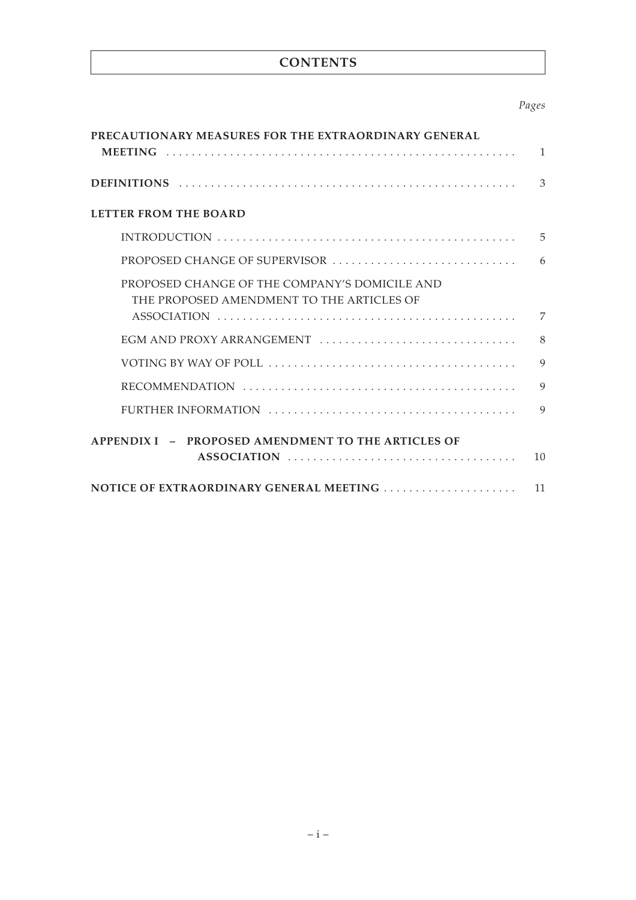# **CONTENTS**

## *Pages*

| PRECAUTIONARY MEASURES FOR THE EXTRAORDINARY GENERAL                                       |              |
|--------------------------------------------------------------------------------------------|--------------|
|                                                                                            | $\mathbf{1}$ |
|                                                                                            | 3            |
| <b>LETTER FROM THE BOARD</b>                                                               |              |
|                                                                                            | 5            |
| PROPOSED CHANGE OF SUPERVISOR                                                              | 6            |
| PROPOSED CHANGE OF THE COMPANY'S DOMICILE AND<br>THE PROPOSED AMENDMENT TO THE ARTICLES OF |              |
|                                                                                            | 7            |
| EGM AND PROXY ARRANGEMENT                                                                  | 8            |
|                                                                                            | 9            |
|                                                                                            | $\mathbf{Q}$ |
|                                                                                            | $\mathbf Q$  |
| APPENDIX I - PROPOSED AMENDMENT TO THE ARTICLES OF                                         |              |
|                                                                                            | 10           |
|                                                                                            | 11           |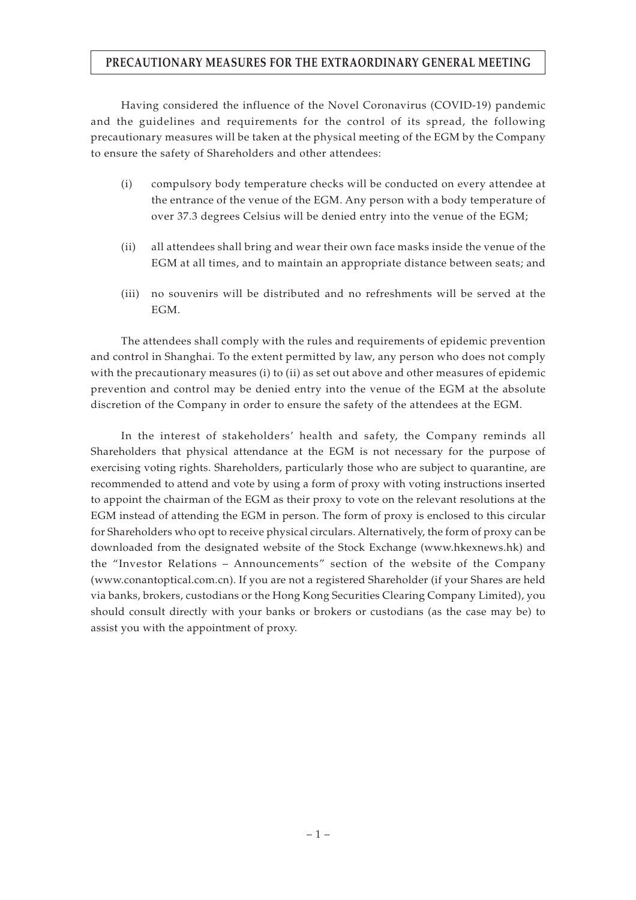## **PRECAUTIONARY MEASURES FOR THE EXTRAORDINARY GENERAL MEETING**

Having considered the influence of the Novel Coronavirus (COVID-19) pandemic and the guidelines and requirements for the control of its spread, the following precautionary measures will be taken at the physical meeting of the EGM by the Company to ensure the safety of Shareholders and other attendees:

- (i) compulsory body temperature checks will be conducted on every attendee at the entrance of the venue of the EGM. Any person with a body temperature of over 37.3 degrees Celsius will be denied entry into the venue of the EGM;
- (ii) all attendees shall bring and wear their own face masks inside the venue of the EGM at all times, and to maintain an appropriate distance between seats; and
- (iii) no souvenirs will be distributed and no refreshments will be served at the EGM.

The attendees shall comply with the rules and requirements of epidemic prevention and control in Shanghai. To the extent permitted by law, any person who does not comply with the precautionary measures (i) to (ii) as set out above and other measures of epidemic prevention and control may be denied entry into the venue of the EGM at the absolute discretion of the Company in order to ensure the safety of the attendees at the EGM.

In the interest of stakeholders' health and safety, the Company reminds all Shareholders that physical attendance at the EGM is not necessary for the purpose of exercising voting rights. Shareholders, particularly those who are subject to quarantine, are recommended to attend and vote by using a form of proxy with voting instructions inserted to appoint the chairman of the EGM as their proxy to vote on the relevant resolutions at the EGM instead of attending the EGM in person. The form of proxy is enclosed to this circular for Shareholders who opt to receive physical circulars. Alternatively, the form of proxy can be downloaded from the designated website of the Stock Exchange (www.hkexnews.hk) and the "Investor Relations – Announcements" section of the website of the Company (www.conantoptical.com.cn). If you are not a registered Shareholder (if your Shares are held via banks, brokers, custodians or the Hong Kong Securities Clearing Company Limited), you should consult directly with your banks or brokers or custodians (as the case may be) to assist you with the appointment of proxy.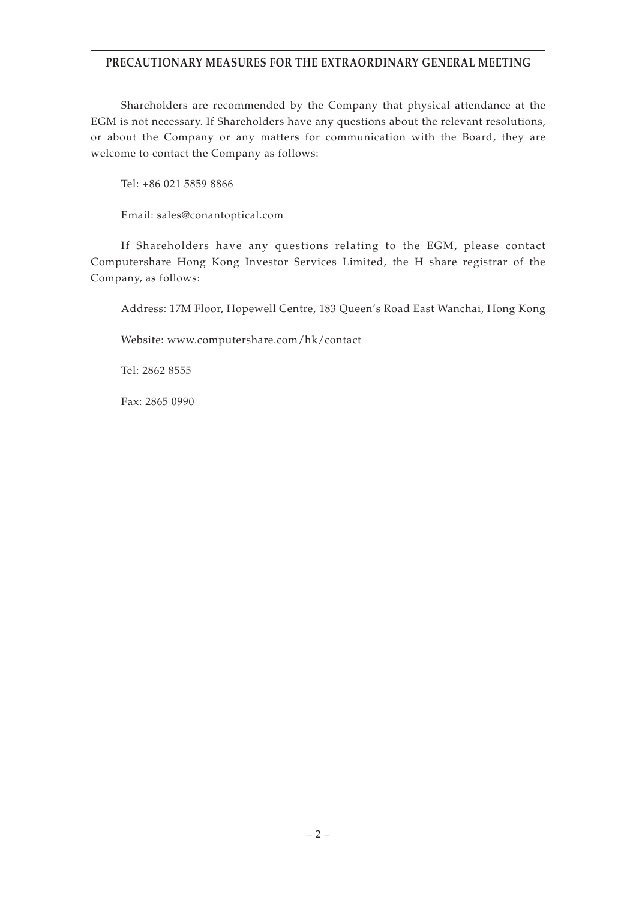## **PRECAUTIONARY MEASURES FOR THE EXTRAORDINARY GENERAL MEETING**

Shareholders are recommended by the Company that physical attendance at the EGM is not necessary. If Shareholders have any questions about the relevant resolutions, or about the Company or any matters for communication with the Board, they are welcome to contact the Company as follows:

Tel: +86 021 5859 8866

Email: sales@conantoptical.com

If Shareholders have any questions relating to the EGM, please contact Computershare Hong Kong Investor Services Limited, the H share registrar of the Company, as follows:

Address: 17M Floor, Hopewell Centre, 183 Queen's Road East Wanchai, Hong Kong

Website: www.computershare.com/hk/contact

Tel: 2862 8555

Fax: 2865 0990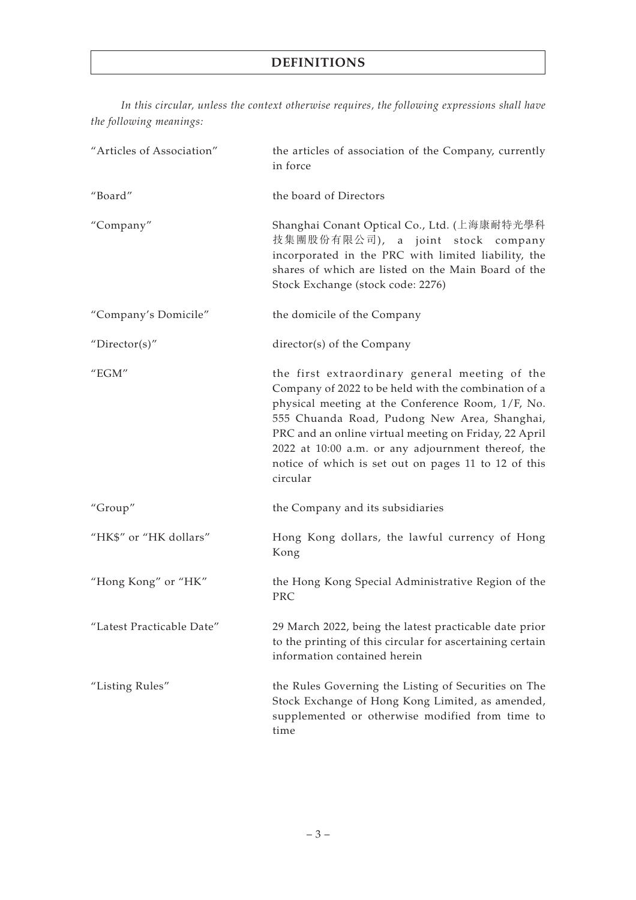# **DEFINITIONS**

*In this circular, unless the context otherwise requires, the following expressions shall have the following meanings:*

| "Articles of Association" | the articles of association of the Company, currently<br>in force                                                                                                                                                                                                                                                                                                                              |
|---------------------------|------------------------------------------------------------------------------------------------------------------------------------------------------------------------------------------------------------------------------------------------------------------------------------------------------------------------------------------------------------------------------------------------|
| "Board"                   | the board of Directors                                                                                                                                                                                                                                                                                                                                                                         |
| "Company"                 | Shanghai Conant Optical Co., Ltd. (上海康耐特光學科<br>技集團股份有限公司), a joint stock company<br>incorporated in the PRC with limited liability, the<br>shares of which are listed on the Main Board of the<br>Stock Exchange (stock code: 2276)                                                                                                                                                            |
| "Company's Domicile"      | the domicile of the Company                                                                                                                                                                                                                                                                                                                                                                    |
| "Director(s)"             | director(s) of the Company                                                                                                                                                                                                                                                                                                                                                                     |
| " $EGM"$                  | the first extraordinary general meeting of the<br>Company of 2022 to be held with the combination of a<br>physical meeting at the Conference Room, 1/F, No.<br>555 Chuanda Road, Pudong New Area, Shanghai,<br>PRC and an online virtual meeting on Friday, 22 April<br>2022 at 10:00 a.m. or any adjournment thereof, the<br>notice of which is set out on pages 11 to 12 of this<br>circular |
| "Group"                   | the Company and its subsidiaries                                                                                                                                                                                                                                                                                                                                                               |
| "HK\$" or "HK dollars"    | Hong Kong dollars, the lawful currency of Hong<br>Kong                                                                                                                                                                                                                                                                                                                                         |
| "Hong Kong" or "HK"       | the Hong Kong Special Administrative Region of the<br>PRC                                                                                                                                                                                                                                                                                                                                      |
| "Latest Practicable Date" | 29 March 2022, being the latest practicable date prior<br>to the printing of this circular for ascertaining certain<br>information contained herein                                                                                                                                                                                                                                            |
| "Listing Rules"           | the Rules Governing the Listing of Securities on The<br>Stock Exchange of Hong Kong Limited, as amended,<br>supplemented or otherwise modified from time to<br>time                                                                                                                                                                                                                            |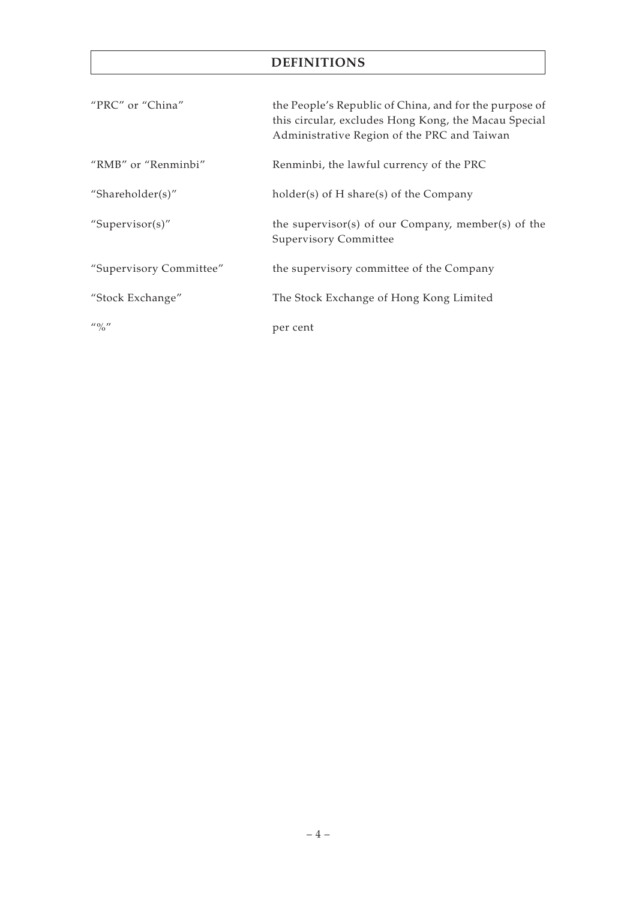# **DEFINITIONS**

| "PRC" or "China"        | the People's Republic of China, and for the purpose of<br>this circular, excludes Hong Kong, the Macau Special<br>Administrative Region of the PRC and Taiwan |
|-------------------------|---------------------------------------------------------------------------------------------------------------------------------------------------------------|
| "RMB" or "Renminbi"     | Renminbi, the lawful currency of the PRC                                                                                                                      |
| "Shareholder(s)"        | $holder(s)$ of H share(s) of the Company                                                                                                                      |
| "Supervisor(s)"         | the supervisor(s) of our Company, member(s) of the<br><b>Supervisory Committee</b>                                                                            |
| "Supervisory Committee" | the supervisory committee of the Company                                                                                                                      |
| "Stock Exchange"        | The Stock Exchange of Hong Kong Limited                                                                                                                       |
| $\frac{110}{0}$         | per cent                                                                                                                                                      |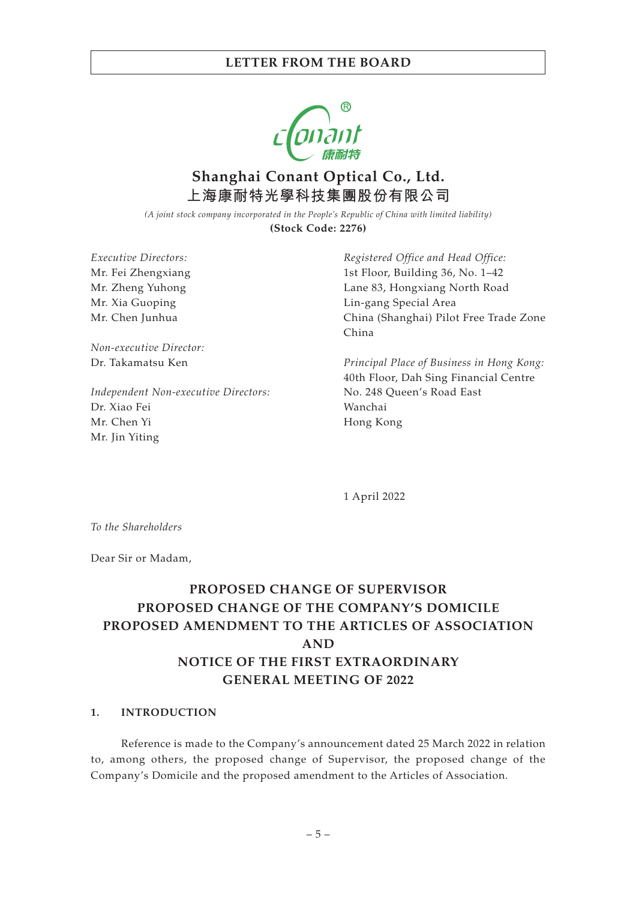

# **Shanghai Conant Optical Co., Ltd. 上海康耐特光學科技集團股份有限公司**

*(A joint stock company incorporated in the People's Republic of China with limited liability)* **(Stock Code: 2276)**

*Executive Directors:* Mr. Fei Zhengxiang Mr. Zheng Yuhong Mr. Xia Guoping Mr. Chen Junhua

*Non-executive Director:* Dr. Takamatsu Ken

*Independent Non-executive Directors:* Dr. Xiao Fei Mr. Chen Yi Mr. Jin Yiting

*Registered Office and Head Office:* 1st Floor, Building 36, No. 1–42 Lane 83, Hongxiang North Road Lin-gang Special Area China (Shanghai) Pilot Free Trade Zone China

*Principal Place of Business in Hong Kong:* 40th Floor, Dah Sing Financial Centre No. 248 Queen's Road East Wanchai Hong Kong

1 April 2022

*To the Shareholders*

Dear Sir or Madam,

# **PROPOSED CHANGE OF SUPERVISOR PROPOSED CHANGE OF THE COMPANY'S DOMICILE PROPOSED AMENDMENT TO THE ARTICLES OF ASSOCIATION AND NOTICE OF THE FIRST EXTRAORDINARY GENERAL MEETING OF 2022**

#### **1. INTRODUCTION**

Reference is made to the Company's announcement dated 25 March 2022 in relation to, among others, the proposed change of Supervisor, the proposed change of the Company's Domicile and the proposed amendment to the Articles of Association.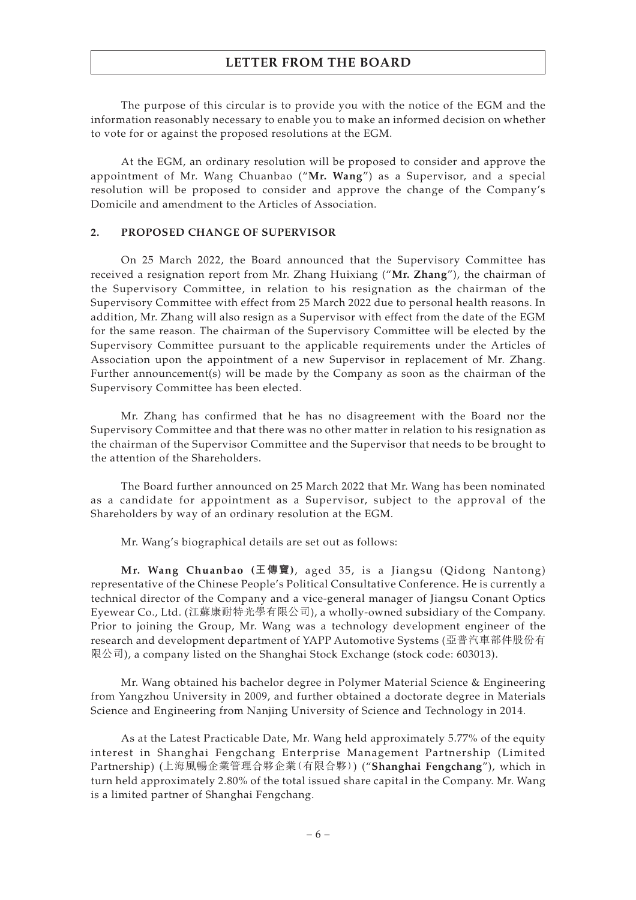The purpose of this circular is to provide you with the notice of the EGM and the information reasonably necessary to enable you to make an informed decision on whether to vote for or against the proposed resolutions at the EGM.

At the EGM, an ordinary resolution will be proposed to consider and approve the appointment of Mr. Wang Chuanbao ("**Mr. Wang**") as a Supervisor, and a special resolution will be proposed to consider and approve the change of the Company's Domicile and amendment to the Articles of Association.

#### **2. PROPOSED CHANGE OF SUPERVISOR**

On 25 March 2022, the Board announced that the Supervisory Committee has received a resignation report from Mr. Zhang Huixiang ("**Mr. Zhang**"), the chairman of the Supervisory Committee, in relation to his resignation as the chairman of the Supervisory Committee with effect from 25 March 2022 due to personal health reasons. In addition, Mr. Zhang will also resign as a Supervisor with effect from the date of the EGM for the same reason. The chairman of the Supervisory Committee will be elected by the Supervisory Committee pursuant to the applicable requirements under the Articles of Association upon the appointment of a new Supervisor in replacement of Mr. Zhang. Further announcement(s) will be made by the Company as soon as the chairman of the Supervisory Committee has been elected.

Mr. Zhang has confirmed that he has no disagreement with the Board nor the Supervisory Committee and that there was no other matter in relation to his resignation as the chairman of the Supervisor Committee and the Supervisor that needs to be brought to the attention of the Shareholders.

The Board further announced on 25 March 2022 that Mr. Wang has been nominated as a candidate for appointment as a Supervisor, subject to the approval of the Shareholders by way of an ordinary resolution at the EGM.

Mr. Wang's biographical details are set out as follows:

**Mr. Wang Chuanbao (王傳寶)**, aged 35, is a Jiangsu (Qidong Nantong) representative of the Chinese People's Political Consultative Conference. He is currently a technical director of the Company and a vice-general manager of Jiangsu Conant Optics Eyewear Co., Ltd. (江蘇康耐特光學有限公司), a wholly-owned subsidiary of the Company. Prior to joining the Group, Mr. Wang was a technology development engineer of the research and development department of YAPP Automotive Systems (亞普汽車部件股份有 限公司), a company listed on the Shanghai Stock Exchange (stock code: 603013).

Mr. Wang obtained his bachelor degree in Polymer Material Science & Engineering from Yangzhou University in 2009, and further obtained a doctorate degree in Materials Science and Engineering from Nanjing University of Science and Technology in 2014.

As at the Latest Practicable Date, Mr. Wang held approximately 5.77% of the equity interest in Shanghai Fengchang Enterprise Management Partnership (Limited Partnership) (上海風暢企業管理合夥企業(有限合夥)) ("**Shanghai Fengchang**"), which in turn held approximately 2.80% of the total issued share capital in the Company. Mr. Wang is a limited partner of Shanghai Fengchang.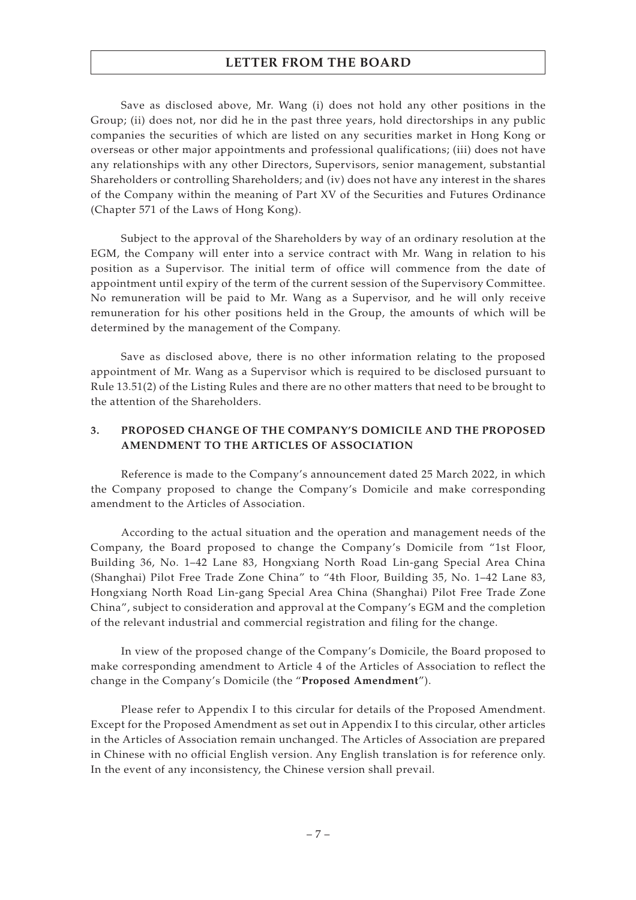Save as disclosed above, Mr. Wang (i) does not hold any other positions in the Group; (ii) does not, nor did he in the past three years, hold directorships in any public companies the securities of which are listed on any securities market in Hong Kong or overseas or other major appointments and professional qualifications; (iii) does not have any relationships with any other Directors, Supervisors, senior management, substantial Shareholders or controlling Shareholders; and (iv) does not have any interest in the shares of the Company within the meaning of Part XV of the Securities and Futures Ordinance (Chapter 571 of the Laws of Hong Kong).

Subject to the approval of the Shareholders by way of an ordinary resolution at the EGM, the Company will enter into a service contract with Mr. Wang in relation to his position as a Supervisor. The initial term of office will commence from the date of appointment until expiry of the term of the current session of the Supervisory Committee. No remuneration will be paid to Mr. Wang as a Supervisor, and he will only receive remuneration for his other positions held in the Group, the amounts of which will be determined by the management of the Company.

Save as disclosed above, there is no other information relating to the proposed appointment of Mr. Wang as a Supervisor which is required to be disclosed pursuant to Rule 13.51(2) of the Listing Rules and there are no other matters that need to be brought to the attention of the Shareholders.

### **3. PROPOSED CHANGE OF THE COMPANY'S DOMICILE AND THE PROPOSED AMENDMENT TO THE ARTICLES OF ASSOCIATION**

Reference is made to the Company's announcement dated 25 March 2022, in which the Company proposed to change the Company's Domicile and make corresponding amendment to the Articles of Association.

According to the actual situation and the operation and management needs of the Company, the Board proposed to change the Company's Domicile from "1st Floor, Building 36, No. 1–42 Lane 83, Hongxiang North Road Lin-gang Special Area China (Shanghai) Pilot Free Trade Zone China" to "4th Floor, Building 35, No. 1–42 Lane 83, Hongxiang North Road Lin-gang Special Area China (Shanghai) Pilot Free Trade Zone China", subject to consideration and approval at the Company's EGM and the completion of the relevant industrial and commercial registration and filing for the change.

In view of the proposed change of the Company's Domicile, the Board proposed to make corresponding amendment to Article 4 of the Articles of Association to reflect the change in the Company's Domicile (the "**Proposed Amendment**").

Please refer to Appendix I to this circular for details of the Proposed Amendment. Except for the Proposed Amendment as set out in Appendix I to this circular, other articles in the Articles of Association remain unchanged. The Articles of Association are prepared in Chinese with no official English version. Any English translation is for reference only. In the event of any inconsistency, the Chinese version shall prevail.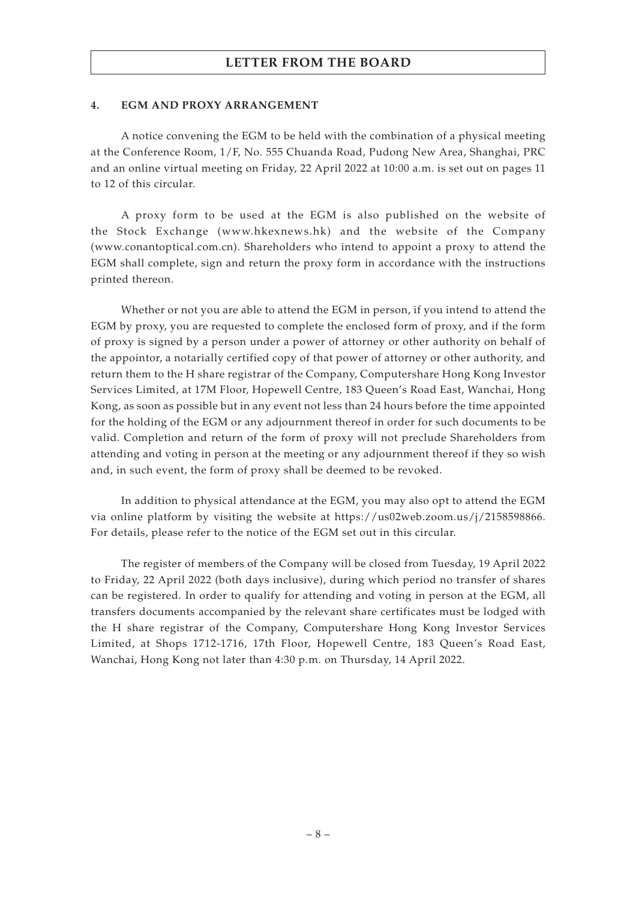#### **4. EGM AND PROXY ARRANGEMENT**

A notice convening the EGM to be held with the combination of a physical meeting at the Conference Room, 1/F, No. 555 Chuanda Road, Pudong New Area, Shanghai, PRC and an online virtual meeting on Friday, 22 April 2022 at 10:00 a.m. is set out on pages 11 to 12 of this circular.

A proxy form to be used at the EGM is also published on the website of the Stock Exchange (www.hkexnews.hk) and the website of the Company (www.conantoptical.com.cn). Shareholders who intend to appoint a proxy to attend the EGM shall complete, sign and return the proxy form in accordance with the instructions printed thereon.

Whether or not you are able to attend the EGM in person, if you intend to attend the EGM by proxy, you are requested to complete the enclosed form of proxy, and if the form of proxy is signed by a person under a power of attorney or other authority on behalf of the appointor, a notarially certified copy of that power of attorney or other authority, and return them to the H share registrar of the Company, Computershare Hong Kong Investor Services Limited, at 17M Floor, Hopewell Centre, 183 Queen's Road East, Wanchai, Hong Kong, as soon as possible but in any event not less than 24 hours before the time appointed for the holding of the EGM or any adjournment thereof in order for such documents to be valid. Completion and return of the form of proxy will not preclude Shareholders from attending and voting in person at the meeting or any adjournment thereof if they so wish and, in such event, the form of proxy shall be deemed to be revoked.

In addition to physical attendance at the EGM, you may also opt to attend the EGM via online platform by visiting the website at https://us02web.zoom.us/j/2158598866. For details, please refer to the notice of the EGM set out in this circular.

The register of members of the Company will be closed from Tuesday, 19 April 2022 to Friday, 22 April 2022 (both days inclusive), during which period no transfer of shares can be registered. In order to qualify for attending and voting in person at the EGM, all transfers documents accompanied by the relevant share certificates must be lodged with the H share registrar of the Company, Computershare Hong Kong Investor Services Limited, at Shops 1712-1716, 17th Floor, Hopewell Centre, 183 Queen's Road East, Wanchai, Hong Kong not later than 4:30 p.m. on Thursday, 14 April 2022.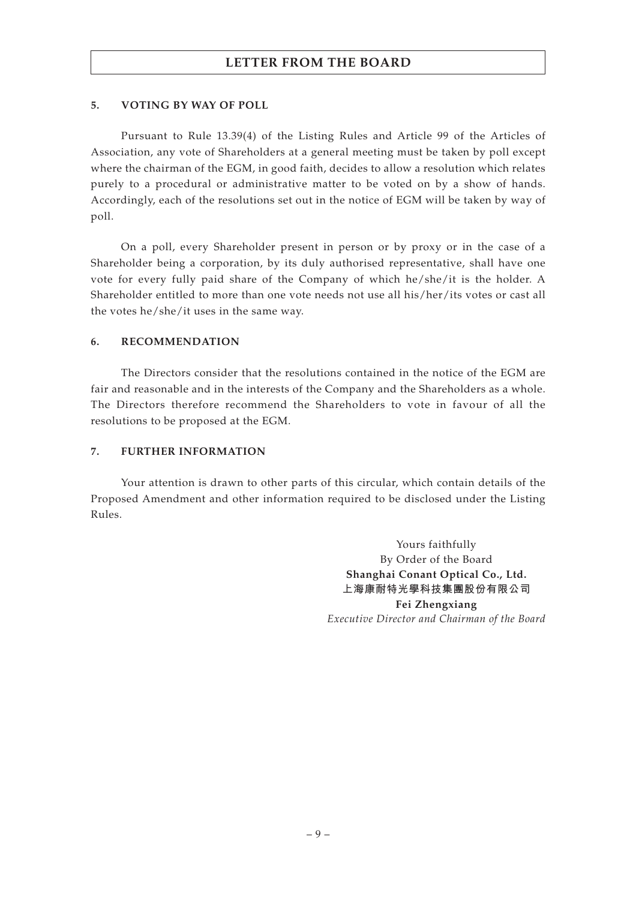### **5. VOTING BY WAY OF POLL**

Pursuant to Rule 13.39(4) of the Listing Rules and Article 99 of the Articles of Association, any vote of Shareholders at a general meeting must be taken by poll except where the chairman of the EGM, in good faith, decides to allow a resolution which relates purely to a procedural or administrative matter to be voted on by a show of hands. Accordingly, each of the resolutions set out in the notice of EGM will be taken by way of poll.

On a poll, every Shareholder present in person or by proxy or in the case of a Shareholder being a corporation, by its duly authorised representative, shall have one vote for every fully paid share of the Company of which he/she/it is the holder. A Shareholder entitled to more than one vote needs not use all his/her/its votes or cast all the votes he/she/it uses in the same way.

#### **6. RECOMMENDATION**

The Directors consider that the resolutions contained in the notice of the EGM are fair and reasonable and in the interests of the Company and the Shareholders as a whole. The Directors therefore recommend the Shareholders to vote in favour of all the resolutions to be proposed at the EGM.

### **7. FURTHER INFORMATION**

Your attention is drawn to other parts of this circular, which contain details of the Proposed Amendment and other information required to be disclosed under the Listing Rules.

> Yours faithfully By Order of the Board **Shanghai Conant Optical Co., Ltd. 上海康耐特光學科技集團股份有限公司 Fei Zhengxiang** *Executive Director and Chairman of the Board*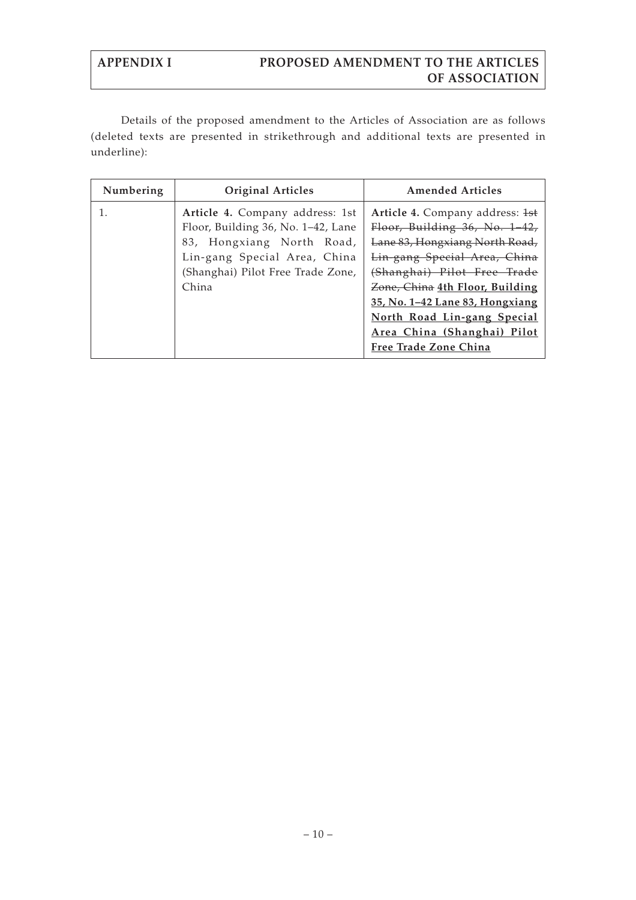Details of the proposed amendment to the Articles of Association are as follows (deleted texts are presented in strikethrough and additional texts are presented in underline):

| Numbering | <b>Original Articles</b>                                                                                                                                                         | <b>Amended Articles</b>                                                                                                                                                                                                                                                                               |
|-----------|----------------------------------------------------------------------------------------------------------------------------------------------------------------------------------|-------------------------------------------------------------------------------------------------------------------------------------------------------------------------------------------------------------------------------------------------------------------------------------------------------|
| 1.        | Article 4. Company address: 1st<br>Floor, Building 36, No. 1–42, Lane<br>83, Hongxiang North Road,<br>Lin-gang Special Area, China<br>(Shanghai) Pilot Free Trade Zone,<br>China | Article 4. Company address: 1st<br>Floor, Building 36, No. 1-42,<br>Lane 83, Hongxiang North Road,<br>Lin-gang Special Area, China<br>(Shanghai) Pilot Free Trade<br>Zone, China 4th Floor, Building<br>35, No. 1-42 Lane 83, Hongxiang<br>North Road Lin-gang Special<br>Area China (Shanghai) Pilot |
|           |                                                                                                                                                                                  | Free Trade Zone China                                                                                                                                                                                                                                                                                 |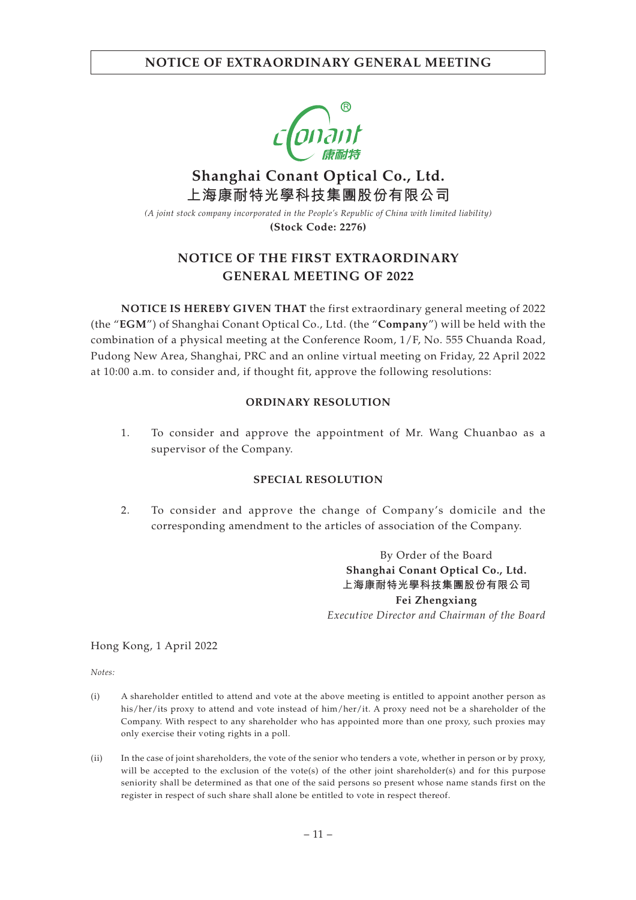

# **Shanghai Conant Optical Co., Ltd. 上海康耐特光學科技集團股份有限公司**

*(A joint stock company incorporated in the People's Republic of China with limited liability)* **(Stock Code: 2276)**

# **NOTICE OF THE FIRST EXTRAORDINARY GENERAL MEETING OF 2022**

**NOTICE IS HEREBY GIVEN THAT** the first extraordinary general meeting of 2022 (the "**EGM**") of Shanghai Conant Optical Co., Ltd. (the "**Company**") will be held with the combination of a physical meeting at the Conference Room, 1/F, No. 555 Chuanda Road, Pudong New Area, Shanghai, PRC and an online virtual meeting on Friday, 22 April 2022 at 10:00 a.m. to consider and, if thought fit, approve the following resolutions:

### **ORDINARY RESOLUTION**

1. To consider and approve the appointment of Mr. Wang Chuanbao as a supervisor of the Company.

### **SPECIAL RESOLUTION**

2. To consider and approve the change of Company's domicile and the corresponding amendment to the articles of association of the Company.

> By Order of the Board **Shanghai Conant Optical Co., Ltd. 上海康耐特光學科技集團股份有限公司 Fei Zhengxiang**

*Executive Director and Chairman of the Board*

Hong Kong, 1 April 2022

*Notes:*

- (i) A shareholder entitled to attend and vote at the above meeting is entitled to appoint another person as his/her/its proxy to attend and vote instead of him/her/it. A proxy need not be a shareholder of the Company. With respect to any shareholder who has appointed more than one proxy, such proxies may only exercise their voting rights in a poll.
- (ii) In the case of joint shareholders, the vote of the senior who tenders a vote, whether in person or by proxy, will be accepted to the exclusion of the vote(s) of the other joint shareholder(s) and for this purpose seniority shall be determined as that one of the said persons so present whose name stands first on the register in respect of such share shall alone be entitled to vote in respect thereof.